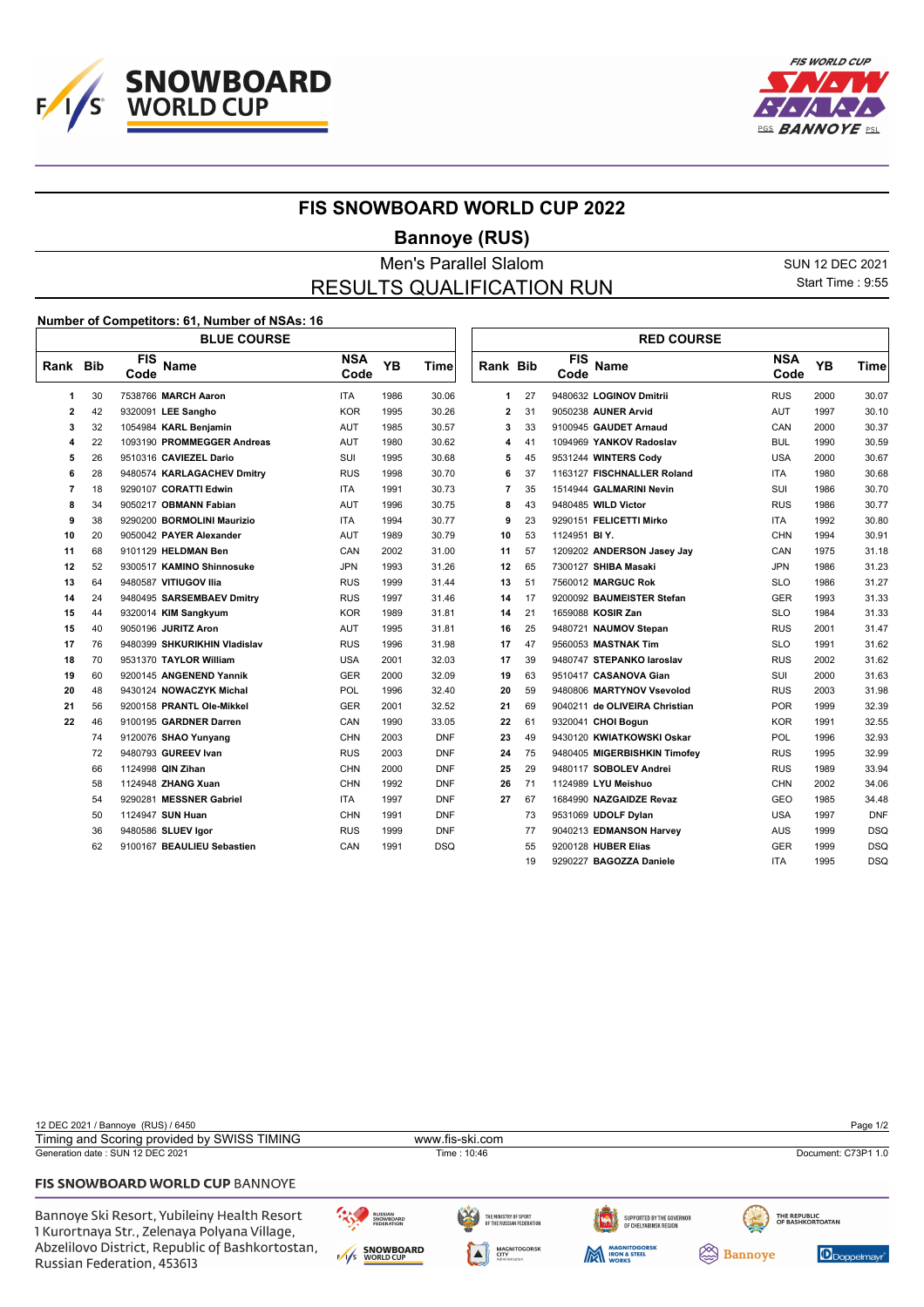



## **FIS SNOWBOARD WORLD CUP 2022**

## **Bannoye (RUS)**

Men's Parallel Slalom SUN 12 DEC 2021 RESULTS QUALIFICATION RUN

1 I

Start Time : 9:55

## **Number of Competitors: 61, Number of NSAs: 16**

|                | <b>BLUE COURSE</b> |                                   |                    |      |             |                         |    | <b>RED COURSE</b>  |                               |                    |           |             |  |
|----------------|--------------------|-----------------------------------|--------------------|------|-------------|-------------------------|----|--------------------|-------------------------------|--------------------|-----------|-------------|--|
| Rank Bib       |                    | <b>FIS</b><br><b>Name</b><br>Code | <b>NSA</b><br>Code | YB   | <b>Time</b> | Rank Bib                |    | <b>FIS</b><br>Code | <b>Name</b>                   | <b>NSA</b><br>Code | <b>YB</b> | <b>Time</b> |  |
| 1              | 30                 | 7538766 MARCH Aaron               | <b>ITA</b>         | 1986 | 30.06       | $\mathbf{1}$            | 27 |                    | 9480632 LOGINOV Dmitrii       | <b>RUS</b>         | 2000      | 30.07       |  |
| $\overline{2}$ | 42                 | 9320091 LEE Sangho                | <b>KOR</b>         | 1995 | 30.26       | $\overline{\mathbf{c}}$ | 31 |                    | 9050238 AUNER Arvid           | <b>AUT</b>         | 1997      | 30.10       |  |
| 3              | 32                 | 1054984 KARL Benjamin             | AUT                | 1985 | 30.57       | 3                       | 33 |                    | 9100945 GAUDET Arnaud         | CAN                | 2000      | 30.37       |  |
| 4              | 22                 | 1093190 PROMMEGGER Andreas        | AUT                | 1980 | 30.62       | 4                       | 41 |                    | 1094969 YANKOV Radoslav       | <b>BUL</b>         | 1990      | 30.59       |  |
| 5              | 26                 | 9510316 CAVIEZEL Dario            | <b>SUI</b>         | 1995 | 30.68       | 5                       | 45 |                    | 9531244 WINTERS Cody          | <b>USA</b>         | 2000      | 30.67       |  |
| 6              | 28                 | 9480574 KARLAGACHEV Dmitry        | <b>RUS</b>         | 1998 | 30.70       | 6                       | 37 |                    | 1163127 FISCHNALLER Roland    | <b>ITA</b>         | 1980      | 30.68       |  |
| 7              | 18                 | 9290107 CORATTI Edwin             | <b>ITA</b>         | 1991 | 30.73       | 7                       | 35 |                    | 1514944 GALMARINI Nevin       | SUI                | 1986      | 30.70       |  |
| 8              | 34                 | 9050217 OBMANN Fabian             | AUT                | 1996 | 30.75       | 8                       | 43 |                    | 9480485 WILD Victor           | <b>RUS</b>         | 1986      | 30.77       |  |
| 9              | 38                 | 9290200 BORMOLINI Maurizio        | <b>ITA</b>         | 1994 | 30.77       | 9                       | 23 |                    | 9290151 FELICETTI Mirko       | <b>ITA</b>         | 1992      | 30.80       |  |
| 10             | 20                 | 9050042 PAYER Alexander           | AUT                | 1989 | 30.79       | 10                      | 53 | 1124951 BIY.       |                               | <b>CHN</b>         | 1994      | 30.91       |  |
| 11             | 68                 | 9101129 HELDMAN Ben               | CAN                | 2002 | 31.00       | 11                      | 57 |                    | 1209202 ANDERSON Jasey Jay    | CAN                | 1975      | 31.18       |  |
| 12             | 52                 | 9300517 KAMINO Shinnosuke         | <b>JPN</b>         | 1993 | 31.26       | 12                      | 65 |                    | 7300127 SHIBA Masaki          | <b>JPN</b>         | 1986      | 31.23       |  |
| 13             | 64                 | 9480587 VITIUGOV Ilia             | <b>RUS</b>         | 1999 | 31.44       | 13                      | 51 |                    | 7560012 MARGUC Rok            | <b>SLO</b>         | 1986      | 31.27       |  |
| 14             | 24                 | 9480495 SARSEMBAEV Dmitry         | <b>RUS</b>         | 1997 | 31.46       | 14                      | 17 |                    | 9200092 BAUMEISTER Stefan     | <b>GER</b>         | 1993      | 31.33       |  |
| 15             | 44                 | 9320014 KIM Sangkyum              | <b>KOR</b>         | 1989 | 31.81       | 14                      | 21 |                    | 1659088 KOSIR Zan             | <b>SLO</b>         | 1984      | 31.33       |  |
| 15             | 40                 | 9050196 JURITZ Aron               | <b>AUT</b>         | 1995 | 31.81       | 16                      | 25 |                    | 9480721 NAUMOV Stepan         | <b>RUS</b>         | 2001      | 31.47       |  |
| 17             | 76                 | 9480399 SHKURIKHIN Vladislav      | <b>RUS</b>         | 1996 | 31.98       | 17                      | 47 |                    | 9560053 MASTNAK Tim           | <b>SLO</b>         | 1991      | 31.62       |  |
| 18             | 70                 | 9531370 TAYLOR William            | <b>USA</b>         | 2001 | 32.03       | 17                      | 39 |                    | 9480747 STEPANKO laroslav     | <b>RUS</b>         | 2002      | 31.62       |  |
| 19             | 60                 | 9200145 ANGENEND Yannik           | <b>GER</b>         | 2000 | 32.09       | 19                      | 63 |                    | 9510417 CASANOVA Gian         | SUI                | 2000      | 31.63       |  |
| 20             | 48                 | 9430124 NOWACZYK Michal           | <b>POL</b>         | 1996 | 32.40       | 20                      | 59 |                    | 9480806 MARTYNOV Vsevolod     | <b>RUS</b>         | 2003      | 31.98       |  |
| 21             | 56                 | 9200158 PRANTL Ole-Mikkel         | <b>GER</b>         | 2001 | 32.52       | 21                      | 69 |                    | 9040211 de OLIVEIRA Christian | <b>POR</b>         | 1999      | 32.39       |  |
| 22             | 46                 | 9100195 GARDNER Darren            | CAN                | 1990 | 33.05       | 22                      | 61 |                    | 9320041 CHOI Bogun            | <b>KOR</b>         | 1991      | 32.55       |  |
|                | 74                 | 9120076 SHAO Yunyang              | <b>CHN</b>         | 2003 | <b>DNF</b>  | 23                      | 49 |                    | 9430120 KWIATKOWSKI Oskar     | POL                | 1996      | 32.93       |  |
|                | 72                 | 9480793 GUREEV Ivan               | <b>RUS</b>         | 2003 | <b>DNF</b>  | 24                      | 75 |                    | 9480405 MIGERBISHKIN Timofey  | <b>RUS</b>         | 1995      | 32.99       |  |
|                | 66                 | 1124998 QIN Zihan                 | <b>CHN</b>         | 2000 | <b>DNF</b>  | 25                      | 29 |                    | 9480117 SOBOLEV Andrei        | <b>RUS</b>         | 1989      | 33.94       |  |
|                | 58                 | 1124948 ZHANG Xuan                | <b>CHN</b>         | 1992 | <b>DNF</b>  | 26                      | 71 |                    | 1124989 LYU Meishuo           | <b>CHN</b>         | 2002      | 34.06       |  |
|                | 54                 | 9290281 MESSNER Gabriel           | <b>ITA</b>         | 1997 | <b>DNF</b>  | 27                      | 67 |                    | 1684990 NAZGAIDZE Revaz       | <b>GEO</b>         | 1985      | 34.48       |  |
|                | 50                 | 1124947 SUN Huan                  | <b>CHN</b>         | 1991 | <b>DNF</b>  |                         | 73 |                    | 9531069 UDOLF Dylan           | <b>USA</b>         | 1997      | <b>DNF</b>  |  |
|                | 36                 | 9480586 SLUEV Igor                | <b>RUS</b>         | 1999 | <b>DNF</b>  |                         | 77 |                    | 9040213 EDMANSON Harvey       | <b>AUS</b>         | 1999      | <b>DSQ</b>  |  |
|                | 62                 | 9100167 BEAULIEU Sebastien        | CAN                | 1991 | <b>DSQ</b>  |                         | 55 |                    | 9200128 HUBER Elias           | <b>GER</b>         | 1999      | <b>DSQ</b>  |  |
|                |                    |                                   |                    |      |             |                         | 19 |                    | 9290227 BAGOZZA Daniele       | <b>ITA</b>         | 1995      | <b>DSQ</b>  |  |